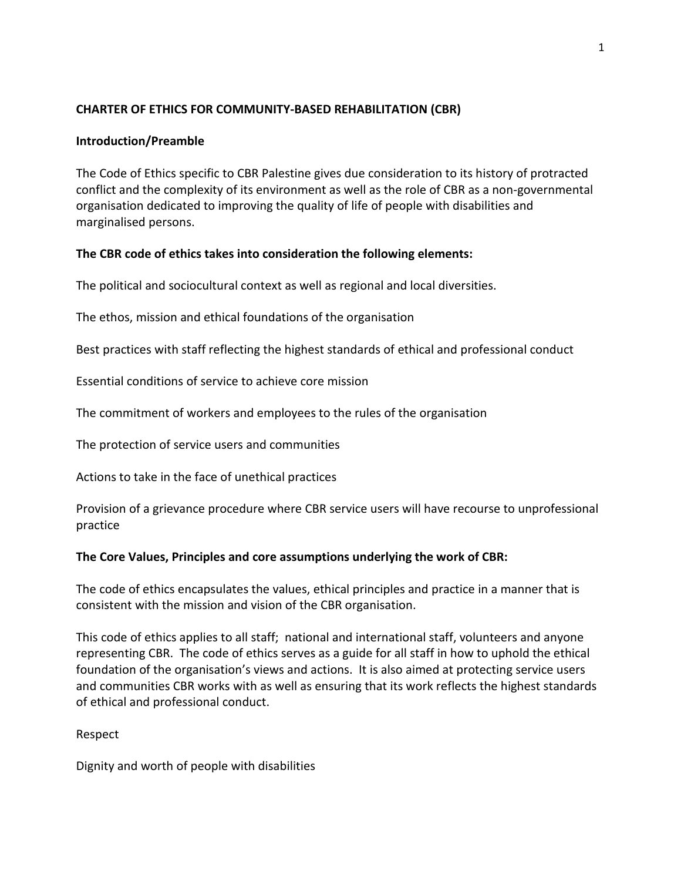# **CHARTER OF ETHICS FOR COMMUNITY-BASED REHABILITATION (CBR)**

## **Introduction/Preamble**

The Code of Ethics specific to CBR Palestine gives due consideration to its history of protracted conflict and the complexity of its environment as well as the role of CBR as a non-governmental organisation dedicated to improving the quality of life of people with disabilities and marginalised persons.

# **The CBR code of ethics takes into consideration the following elements:**

The political and sociocultural context as well as regional and local diversities.

The ethos, mission and ethical foundations of the organisation

Best practices with staff reflecting the highest standards of ethical and professional conduct

Essential conditions of service to achieve core mission

The commitment of workers and employees to the rules of the organisation

The protection of service users and communities

Actions to take in the face of unethical practices

Provision of a grievance procedure where CBR service users will have recourse to unprofessional practice

# **The Core Values, Principles and core assumptions underlying the work of CBR:**

The code of ethics encapsulates the values, ethical principles and practice in a manner that is consistent with the mission and vision of the CBR organisation.

This code of ethics applies to all staff; national and international staff, volunteers and anyone representing CBR. The code of ethics serves as a guide for all staff in how to uphold the ethical foundation of the organisation's views and actions. It is also aimed at protecting service users and communities CBR works with as well as ensuring that its work reflects the highest standards of ethical and professional conduct.

Respect

Dignity and worth of people with disabilities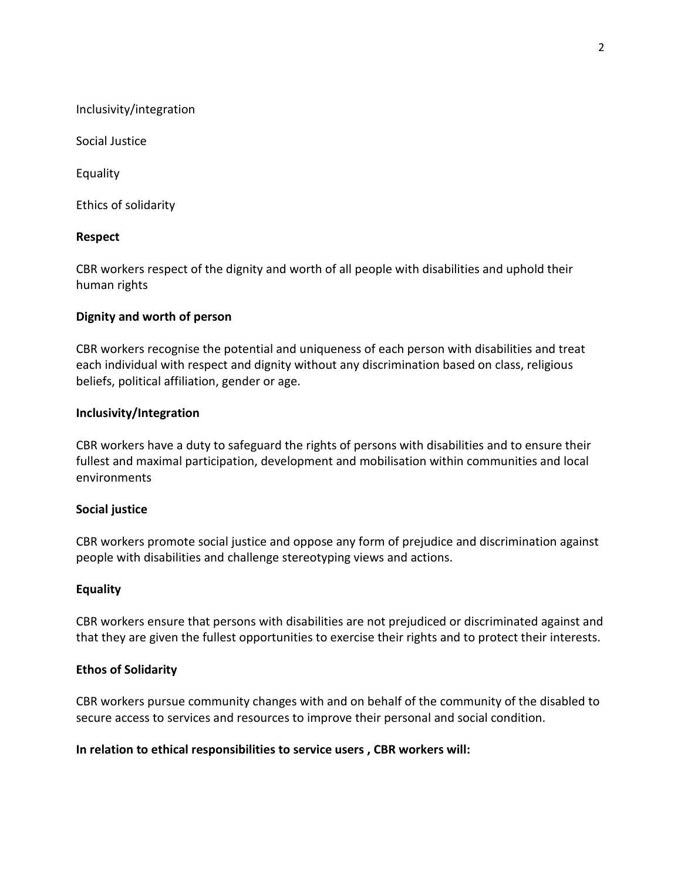Inclusivity/integration

Social Justice

Equality

Ethics of solidarity

### **Respect**

CBR workers respect of the dignity and worth of all people with disabilities and uphold their human rights

### **Dignity and worth of person**

CBR workers recognise the potential and uniqueness of each person with disabilities and treat each individual with respect and dignity without any discrimination based on class, religious beliefs, political affiliation, gender or age.

### **Inclusivity/Integration**

CBR workers have a duty to safeguard the rights of persons with disabilities and to ensure their fullest and maximal participation, development and mobilisation within communities and local environments

## **Social justice**

CBR workers promote social justice and oppose any form of prejudice and discrimination against people with disabilities and challenge stereotyping views and actions.

#### **Equality**

CBR workers ensure that persons with disabilities are not prejudiced or discriminated against and that they are given the fullest opportunities to exercise their rights and to protect their interests.

#### **Ethos of Solidarity**

CBR workers pursue community changes with and on behalf of the community of the disabled to secure access to services and resources to improve their personal and social condition.

## **In relation to ethical responsibilities to service users , CBR workers will:**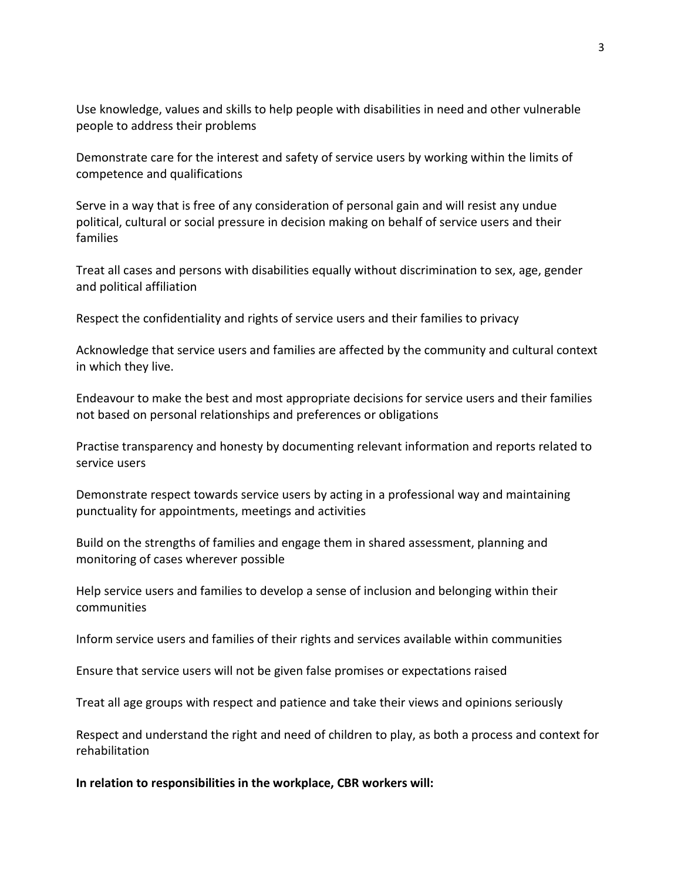Use knowledge, values and skills to help people with disabilities in need and other vulnerable people to address their problems

Demonstrate care for the interest and safety of service users by working within the limits of competence and qualifications

Serve in a way that is free of any consideration of personal gain and will resist any undue political, cultural or social pressure in decision making on behalf of service users and their families

Treat all cases and persons with disabilities equally without discrimination to sex, age, gender and political affiliation

Respect the confidentiality and rights of service users and their families to privacy

Acknowledge that service users and families are affected by the community and cultural context in which they live.

Endeavour to make the best and most appropriate decisions for service users and their families not based on personal relationships and preferences or obligations

Practise transparency and honesty by documenting relevant information and reports related to service users

Demonstrate respect towards service users by acting in a professional way and maintaining punctuality for appointments, meetings and activities

Build on the strengths of families and engage them in shared assessment, planning and monitoring of cases wherever possible

Help service users and families to develop a sense of inclusion and belonging within their communities

Inform service users and families of their rights and services available within communities

Ensure that service users will not be given false promises or expectations raised

Treat all age groups with respect and patience and take their views and opinions seriously

Respect and understand the right and need of children to play, as both a process and context for rehabilitation

**In relation to responsibilities in the workplace, CBR workers will:**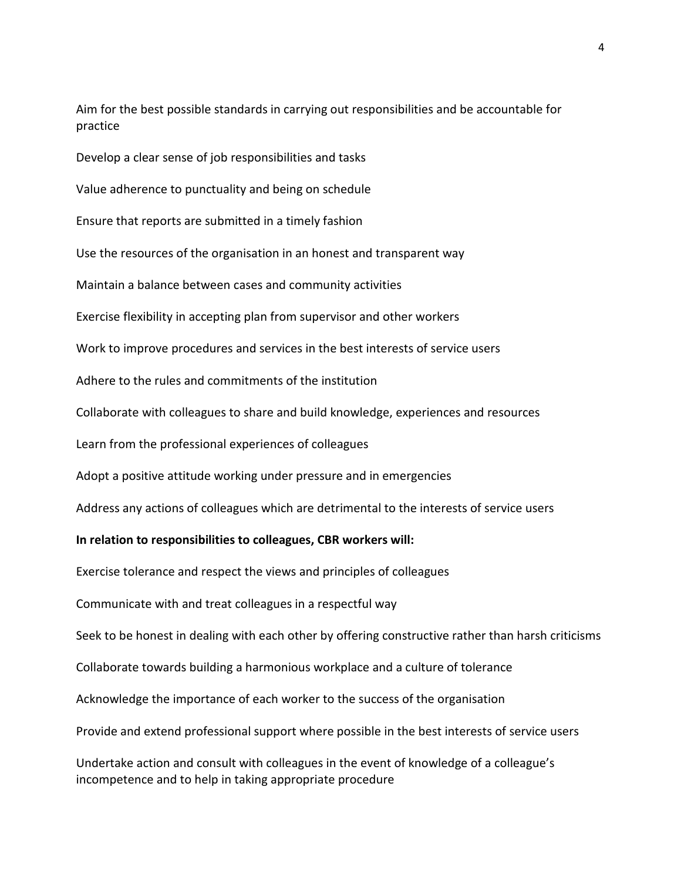Aim for the best possible standards in carrying out responsibilities and be accountable for practice

Develop a clear sense of job responsibilities and tasks Value adherence to punctuality and being on schedule Ensure that reports are submitted in a timely fashion Use the resources of the organisation in an honest and transparent way Maintain a balance between cases and community activities Exercise flexibility in accepting plan from supervisor and other workers Work to improve procedures and services in the best interests of service users Adhere to the rules and commitments of the institution Collaborate with colleagues to share and build knowledge, experiences and resources Learn from the professional experiences of colleagues Adopt a positive attitude working under pressure and in emergencies Address any actions of colleagues which are detrimental to the interests of service users **In relation to responsibilities to colleagues, CBR workers will:**

Exercise tolerance and respect the views and principles of colleagues

Communicate with and treat colleagues in a respectful way Seek to be honest in dealing with each other by offering constructive rather than harsh criticisms Collaborate towards building a harmonious workplace and a culture of tolerance

Acknowledge the importance of each worker to the success of the organisation

Provide and extend professional support where possible in the best interests of service users

Undertake action and consult with colleagues in the event of knowledge of a colleague's incompetence and to help in taking appropriate procedure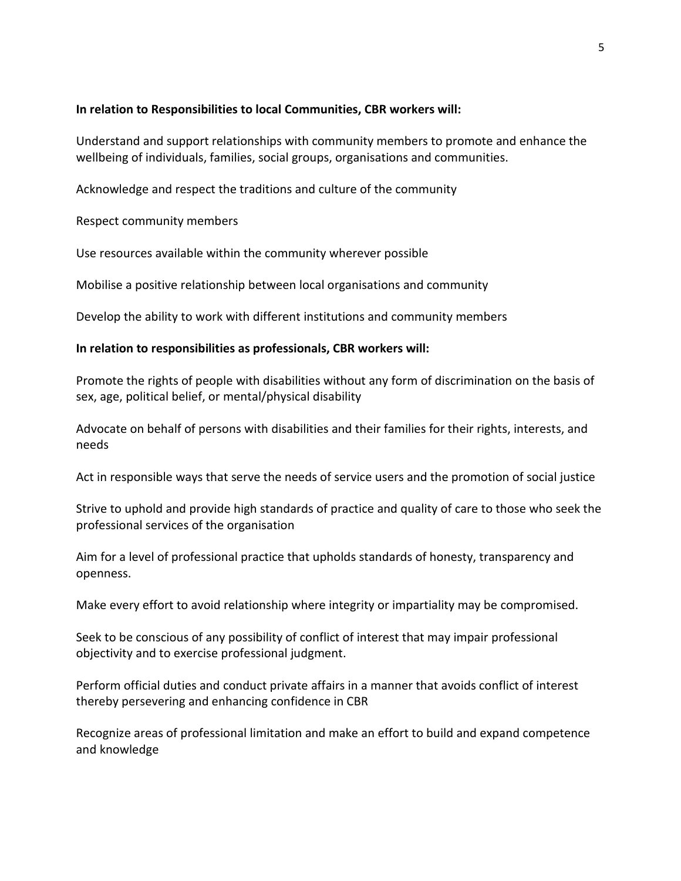### **In relation to Responsibilities to local Communities, CBR workers will:**

Understand and support relationships with community members to promote and enhance the wellbeing of individuals, families, social groups, organisations and communities.

Acknowledge and respect the traditions and culture of the community

Respect community members

Use resources available within the community wherever possible

Mobilise a positive relationship between local organisations and community

Develop the ability to work with different institutions and community members

## **In relation to responsibilities as professionals, CBR workers will:**

Promote the rights of people with disabilities without any form of discrimination on the basis of sex, age, political belief, or mental/physical disability

Advocate on behalf of persons with disabilities and their families for their rights, interests, and needs

Act in responsible ways that serve the needs of service users and the promotion of social justice

Strive to uphold and provide high standards of practice and quality of care to those who seek the professional services of the organisation

Aim for a level of professional practice that upholds standards of honesty, transparency and openness.

Make every effort to avoid relationship where integrity or impartiality may be compromised.

Seek to be conscious of any possibility of conflict of interest that may impair professional objectivity and to exercise professional judgment.

Perform official duties and conduct private affairs in a manner that avoids conflict of interest thereby persevering and enhancing confidence in CBR

Recognize areas of professional limitation and make an effort to build and expand competence and knowledge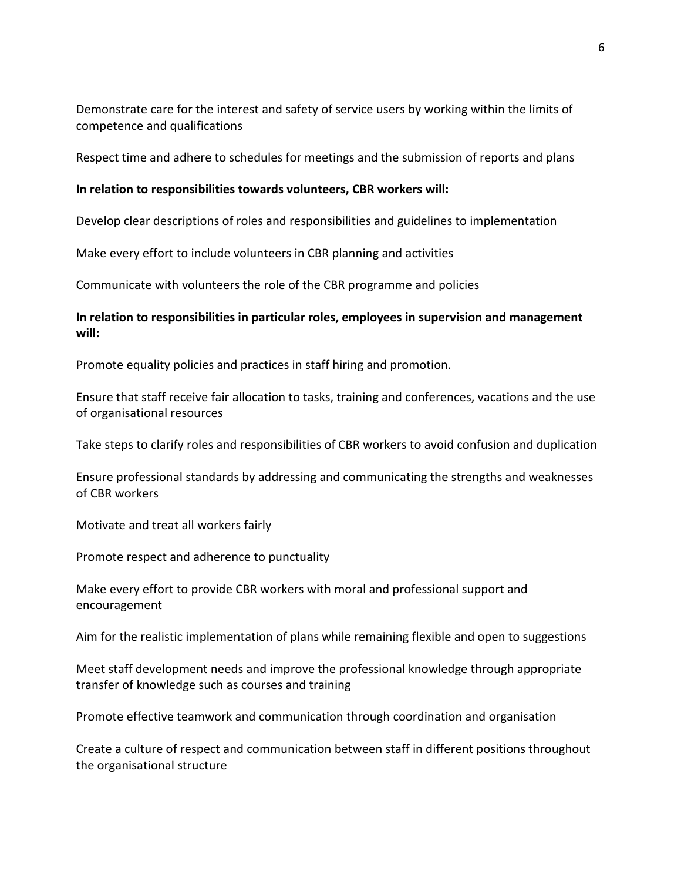Demonstrate care for the interest and safety of service users by working within the limits of competence and qualifications

Respect time and adhere to schedules for meetings and the submission of reports and plans

#### **In relation to responsibilities towards volunteers, CBR workers will:**

Develop clear descriptions of roles and responsibilities and guidelines to implementation

Make every effort to include volunteers in CBR planning and activities

Communicate with volunteers the role of the CBR programme and policies

# **In relation to responsibilities in particular roles, employees in supervision and management will:**

Promote equality policies and practices in staff hiring and promotion.

Ensure that staff receive fair allocation to tasks, training and conferences, vacations and the use of organisational resources

Take steps to clarify roles and responsibilities of CBR workers to avoid confusion and duplication

Ensure professional standards by addressing and communicating the strengths and weaknesses of CBR workers

Motivate and treat all workers fairly

Promote respect and adherence to punctuality

Make every effort to provide CBR workers with moral and professional support and encouragement

Aim for the realistic implementation of plans while remaining flexible and open to suggestions

Meet staff development needs and improve the professional knowledge through appropriate transfer of knowledge such as courses and training

Promote effective teamwork and communication through coordination and organisation

Create a culture of respect and communication between staff in different positions throughout the organisational structure